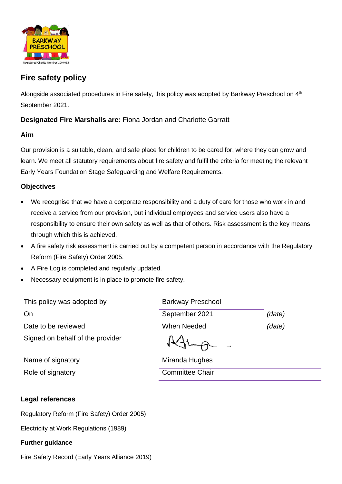

# **Fire safety policy**

Alongside associated procedures in Fire safety, this policy was adopted by Barkway Preschool on 4<sup>th</sup> September 2021.

## **Designated Fire Marshalls are:** Fiona Jordan and Charlotte Garratt

#### **Aim**

Our provision is a suitable, clean, and safe place for children to be cared for, where they can grow and learn. We meet all statutory requirements about fire safety and fulfil the criteria for meeting the relevant Early Years Foundation Stage Safeguarding and Welfare Requirements.

#### **Objectives**

- We recognise that we have a corporate responsibility and a duty of care for those who work in and receive a service from our provision, but individual employees and service users also have a responsibility to ensure their own safety as well as that of others. Risk assessment is the key means through which this is achieved.
- A fire safety risk assessment is carried out by a competent person in accordance with the Regulatory Reform (Fire Safety) Order 2005.
- A Fire Log is completed and regularly updated.
- Necessary equipment is in place to promote fire safety.

| This policy was adopted by       | <b>Barkway Preschool</b> |        |
|----------------------------------|--------------------------|--------|
| On                               | September 2021           | (date) |
| Date to be reviewed              | When Needed              | (date) |
| Signed on behalf of the provider |                          |        |
| Name of signatory                | Miranda Hughes           |        |

Role of signatory **Committee Chair** 

# **Legal references**

Regulatory Reform (Fire Safety) Order 2005)

Electricity at Work Regulations (1989)

#### **Further guidance**

Fire Safety Record (Early Years Alliance 2019)